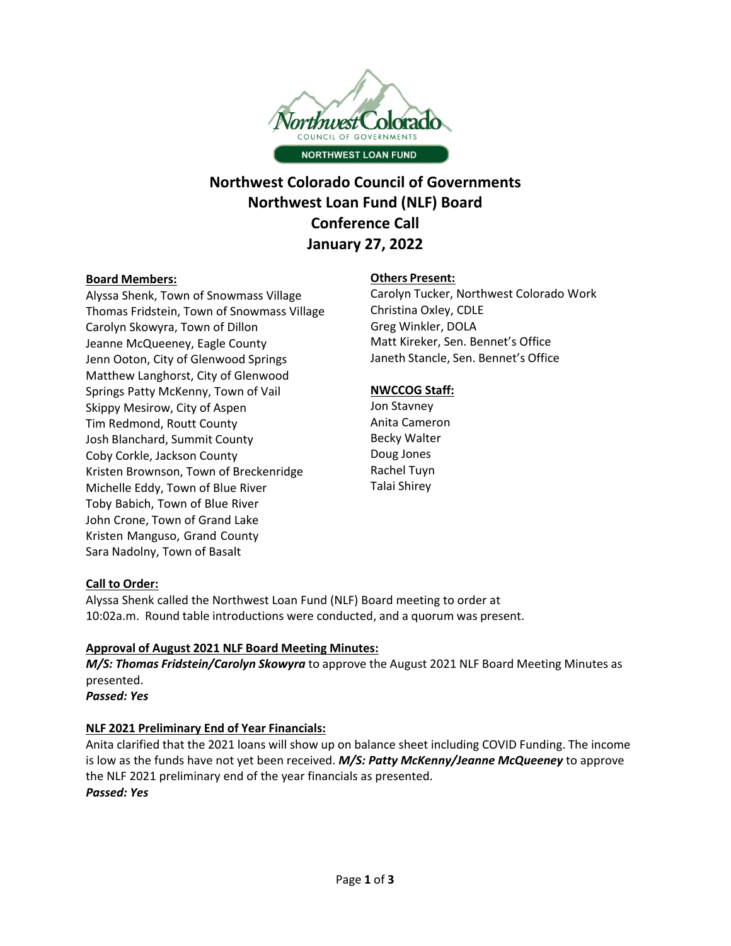

# **Northwest Colorado Council of Governments Northwest Loan Fund (NLF) Board Conference Call January 27, 2022**

#### **Board Members:**

Alyssa Shenk, Town of Snowmass Village Thomas Fridstein, Town of Snowmass Village Carolyn Skowyra, Town of Dillon Jeanne McQueeney, Eagle County Jenn Ooton, City of Glenwood Springs Matthew Langhorst, City of Glenwood Springs Patty McKenny, Town of Vail Skippy Mesirow, City of Aspen Tim Redmond, Routt County Josh Blanchard, Summit County Coby Corkle, Jackson County Kristen Brownson, Town of Breckenridge Michelle Eddy, Town of Blue River Toby Babich, Town of Blue River John Crone, Town of Grand Lake Kristen Manguso, Grand County Sara Nadolny, Town of Basalt

# **Others Present:**

 Carolyn Tucker, Northwest Colorado Work Christina Oxley, CDLE Greg Winkler, DOLA Matt Kireker, Sen. Bennet's Office Janeth Stancle, Sen. Bennet's Office

# **NWCCOG Staff:**

 Anita Cameron Becky Walter Doug Jones Rachel Tuyn Talai Shirey Jon Stavney

# **Call to Order:**

Alyssa Shenk called the Northwest Loan Fund (NLF) Board meeting to order at 10:02a.m. Round table introductions were conducted, and a quorum was present.

# **Approval of August 2021 NLF Board Meeting Minutes:**

*M/S: Thomas Fridstein/Carolyn Skowyra* to approve the August 2021 NLF Board Meeting Minutes as presented.

*Passed: Yes*

# **NLF 2021 Preliminary End of Year Financials:**

Anita clarified that the 2021 loans will show up on balance sheet including COVID Funding. The income is low as the funds have not yet been received. *M/S: Patty McKenny/Jeanne McQueeney* to approve the NLF 2021 preliminary end of the year financials as presented. *Passed: Yes*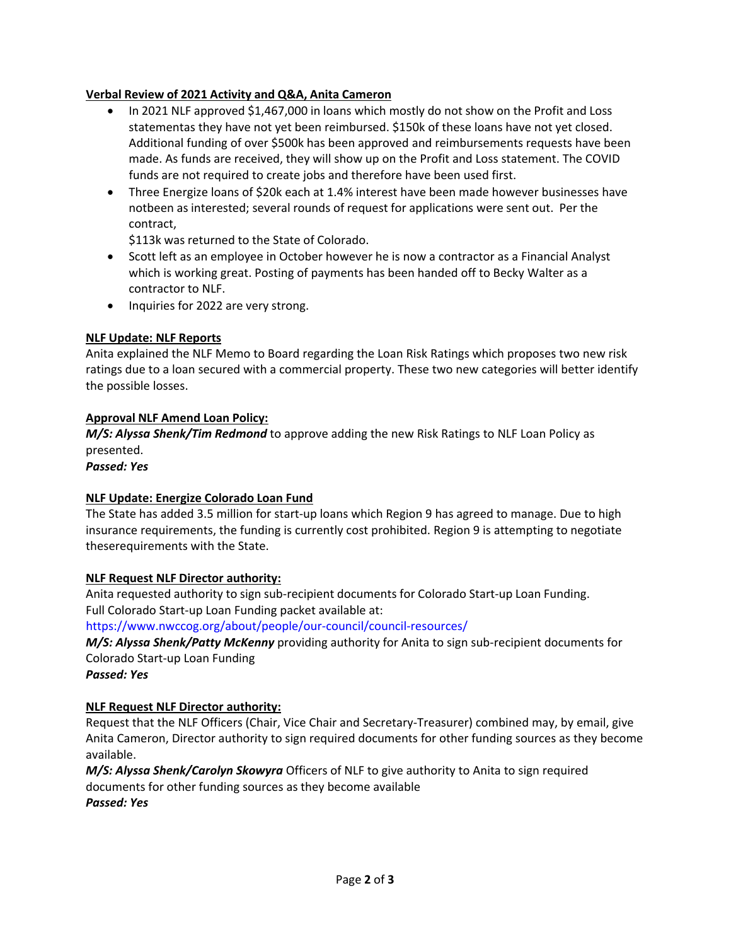# **Verbal Review of 2021 Activity and Q&A, Anita Cameron**

- In 2021 NLF approved \$1,467,000 in loans which mostly do not show on the Profit and Loss statementas they have not yet been reimbursed. \$150k of these loans have not yet closed. Additional funding of over \$500k has been approved and reimbursements requests have been made. As funds are received, they will show up on the Profit and Loss statement. The COVID funds are not required to create jobs and therefore have been used first.
- Three Energize loans of \$20k each at 1.4% interest have been made however businesses have notbeen as interested; several rounds of request for applications were sent out. Per the contract,

\$113k was returned to the State of Colorado.

- Scott left as an employee in October however he is now a contractor as a Financial Analyst which is working great. Posting of payments has been handed off to Becky Walter as a contractor to NLF.
- Inquiries for 2022 are very strong.

### **NLF Update: NLF Reports**

Anita explained the NLF Memo to Board regarding the Loan Risk Ratings which proposes two new risk ratings due to a loan secured with a commercial property. These two new categories will better identify the possible losses.

#### **Approval NLF Amend Loan Policy:**

*M/S: Alyssa Shenk/Tim Redmond* to approve adding the new Risk Ratings to NLF Loan Policy as presented.

*Passed: Yes*

#### **NLF Update: Energize Colorado Loan Fund**

The State has added 3.5 million for start‐up loans which Region 9 has agreed to manage. Due to high insurance requirements, the funding is currently cost prohibited. Region 9 is attempting to negotiate theserequirements with the State.

#### **NLF Request NLF Director authority:**

Anita requested authority to sign sub-recipient documents for Colorado Start-up Loan Funding. Full Colorado Start-up Loan Funding packet available at:

[https://www.nwccog.org/about/people/our](https://www.nwccog.org/about/people/our-council/council-resources)-council/council-resources/

*M/S: Alyssa Shenk/Patty McKenny* providing authority for Anita to sign sub‐recipient documents for Colorado Start‐up Loan Funding

*Passed: Yes*

#### **NLF Request NLF Director authority:**

Request that the NLF Officers (Chair, Vice Chair and Secretary‐Treasurer) combined may, by email, give Anita Cameron, Director authority to sign required documents for other funding sources as they become available.

*M/S: Alyssa Shenk/Carolyn Skowyra* Officers of NLF to give authority to Anita to sign required documents for other funding sources as they become available *Passed: Yes*